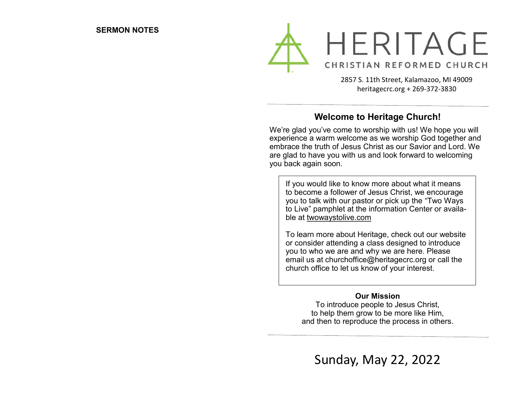

2857 S. 11th Street, Kalamazoo, MI 49009 heritagecrc.org + 269-372-3830

# **Welcome to Heritage Church!**

We're glad you've come to worship with us! We hope you will experience a warm welcome as we worship God together and embrace the truth of Jesus Christ as our Savior and Lord. We are glad to have you with us and look forward to welcoming you back again soon.

If you would like to know more about what it means to become a follower of Jesus Christ, we encourage you to talk with our pastor or pick up the "Two Ways to Live" pamphlet at the information Center or available at twowaystolive.com

To learn more about Heritage, check out our website or consider attending a class designed to introduce you to who we are and why we are here. Please email us at churchoffice@heritagecrc.org or call the church office to let us know of your interest.

#### **Our Mission**

To introduce people to Jesus Christ, to help them grow to be more like Him, and then to reproduce the process in others.

Sunday, May 22, 2022